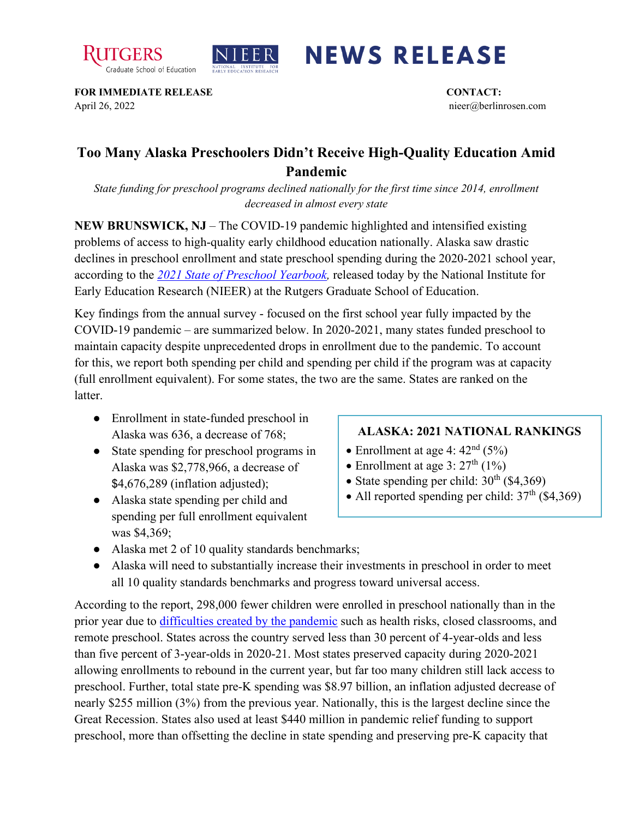



## **NEWS RELEASE**

**FOR IMMEDIATE RELEASE CONTACT:**  April 26, 2022 nieer@berlinrosen.com

## **Too Many Alaska Preschoolers Didn't Receive High-Quality Education Amid Pandemic**

*State funding for preschool programs declined nationally for the first time since 2014, enrollment decreased in almost every state*

**NEW BRUNSWICK, NJ** – The COVID-19 pandemic highlighted and intensified existing problems of access to high-quality early childhood education nationally. Alaska saw drastic declines in preschool enrollment and state preschool spending during the 2020-2021 school year, according to the *[2021 State of Preschool Yearbook,](https://nieer.org/state-preschool-yearbooks-yearbook2021)* released today by the National Institute for Early Education Research (NIEER) at the Rutgers Graduate School of Education.

Key findings from the annual survey - focused on the first school year fully impacted by the COVID-19 pandemic – are summarized below. In 2020-2021, many states funded preschool to maintain capacity despite unprecedented drops in enrollment due to the pandemic. To account for this, we report both spending per child and spending per child if the program was at capacity (full enrollment equivalent). For some states, the two are the same. States are ranked on the latter.

- Enrollment in state-funded preschool in Alaska was 636, a decrease of 768;
- State spending for preschool programs in Alaska was \$2,778,966, a decrease of \$4,676,289 (inflation adjusted);
- Alaska state spending per child and spending per full enrollment equivalent was \$4,369;

## **ALASKA: 2021 NATIONAL RANKINGS**

- Enrollment at age 4:  $42<sup>nd</sup>$  (5%)
- Enrollment at age 3:  $27<sup>th</sup>$  (1%)
- State spending per child:  $30<sup>th</sup>$  (\$4,369)
- All reported spending per child:  $37<sup>th</sup>$  (\$4,369)
- Alaska met 2 of 10 quality standards benchmarks;
- Alaska will need to substantially increase their investments in preschool in order to meet all 10 quality standards benchmarks and progress toward universal access.

According to the report, 298,000 fewer children were enrolled in preschool nationally than in the prior year due to [difficulties created by the pandemic](https://nieer.org/wp-content/uploads/2021/02/NIEER_Seven_Impacts_of_the_Pandemic_on_Young_Children_and_their_Parents.pdf) such as health risks, closed classrooms, and remote preschool. States across the country served less than 30 percent of 4-year-olds and less than five percent of 3-year-olds in 2020-21. Most states preserved capacity during 2020-2021 allowing enrollments to rebound in the current year, but far too many children still lack access to preschool. Further, total state pre-K spending was \$8.97 billion, an inflation adjusted decrease of nearly \$255 million (3%) from the previous year. Nationally, this is the largest decline since the Great Recession. States also used at least \$440 million in pandemic relief funding to support preschool, more than offsetting the decline in state spending and preserving pre-K capacity that